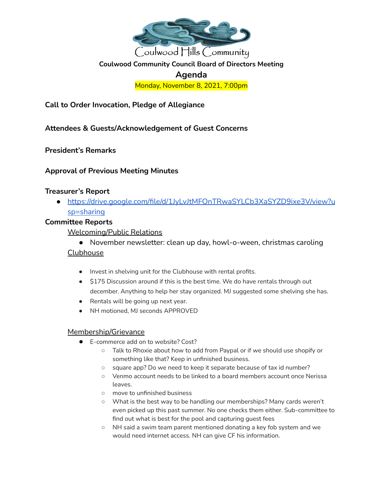

# **Coulwood Community Council Board of Directors Meeting**

# **Agenda**

Monday, November 8, 2021, 7:00pm

**Call to Order Invocation, Pledge of Allegiance**

**Attendees & Guests/Acknowledgement of Guest Concerns**

**President's Remarks**

### **Approval of Previous Meeting Minutes**

# **Treasurer's Report**

● [https://drive.google.com/file/d/1JyLvJtMFOnTRwaSYLCb3XaSYZD9ixe3V/view?u](https://drive.google.com/file/d/1JyLvJtMFOnTRwaSYLCb3XaSYZD9ixe3V/view?usp=sharing) [sp=sharing](https://drive.google.com/file/d/1JyLvJtMFOnTRwaSYLCb3XaSYZD9ixe3V/view?usp=sharing)

# **Committee Reports**

Welcoming/Public Relations

● November newsletter: clean up day, howl-o-ween, christmas caroling

### Clubhouse

- Invest in shelving unit for the Clubhouse with rental profits.
- \$175 Discussion around if this is the best time. We do have rentals through out december. Anything to help her stay organized. MJ suggested some shelving she has.
- Rentals will be going up next year.
- NH motioned, MJ seconds APPROVED

### Membership/Grievance

- E-commerce add on to website? Cost?
	- Talk to Rhoxie about how to add from Paypal or if we should use shopify or something like that? Keep in unfinished business.
	- square app? Do we need to keep it separate because of tax id number?
	- Venmo account needs to be linked to a board members account once Nerissa leaves.
	- move to unfinished business
	- What is the best way to be handling our memberships? Many cards weren't even picked up this past summer. No one checks them either. Sub-committee to find out what is best for the pool and capturing guest fees
	- NH said a swim team parent mentioned donating a key fob system and we would need internet access. NH can give CF his information.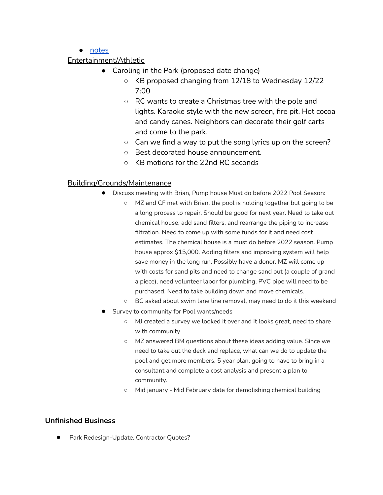#### ● [notes](https://docs.google.com/document/d/18tqgzqvgn8ogWKiNwzw1vw8LLuWk8kEiq4sLrwLhL6w/edit?usp=sharing)

# Entertainment/Athletic

- Caroling in the Park (proposed date change)
	- KB proposed changing from 12/18 to Wednesday 12/22 7:00
	- RC wants to create a Christmas tree with the pole and lights. Karaoke style with the new screen, fire pit. Hot cocoa and candy canes. Neighbors can decorate their golf carts and come to the park.
	- $\circ$  Can we find a way to put the song lyrics up on the screen?
	- Best decorated house announcement.
	- KB motions for the 22nd RC seconds

# Building/Grounds/Maintenance

- Discuss meeting with Brian, Pump house Must do before 2022 Pool Season:
	- MZ and CF met with Brian, the pool is holding together but going to be a long process to repair. Should be good for next year. Need to take out chemical house, add sand filters, and rearrange the piping to increase filtration. Need to come up with some funds for it and need cost estimates. The chemical house is a must do before 2022 season. Pump house approx \$15,000. Adding filters and improving system will help save money in the long run. Possibly have a donor. MZ will come up with costs for sand pits and need to change sand out (a couple of grand a piece), need volunteer labor for plumbing, PVC pipe will need to be purchased. Need to take building down and move chemicals.
	- BC asked about swim lane line removal, may need to do it this weekend
- Survey to community for Pool wants/needs
	- MJ created a survey we looked it over and it looks great, need to share with community
	- MZ answered BM questions about these ideas adding value. Since we need to take out the deck and replace, what can we do to update the pool and get more members. 5 year plan, going to have to bring in a consultant and complete a cost analysis and present a plan to community.
	- Mid january Mid February date for demolishing chemical building

### **Unfinished Business**

Park Redesign-Update, Contractor Quotes?